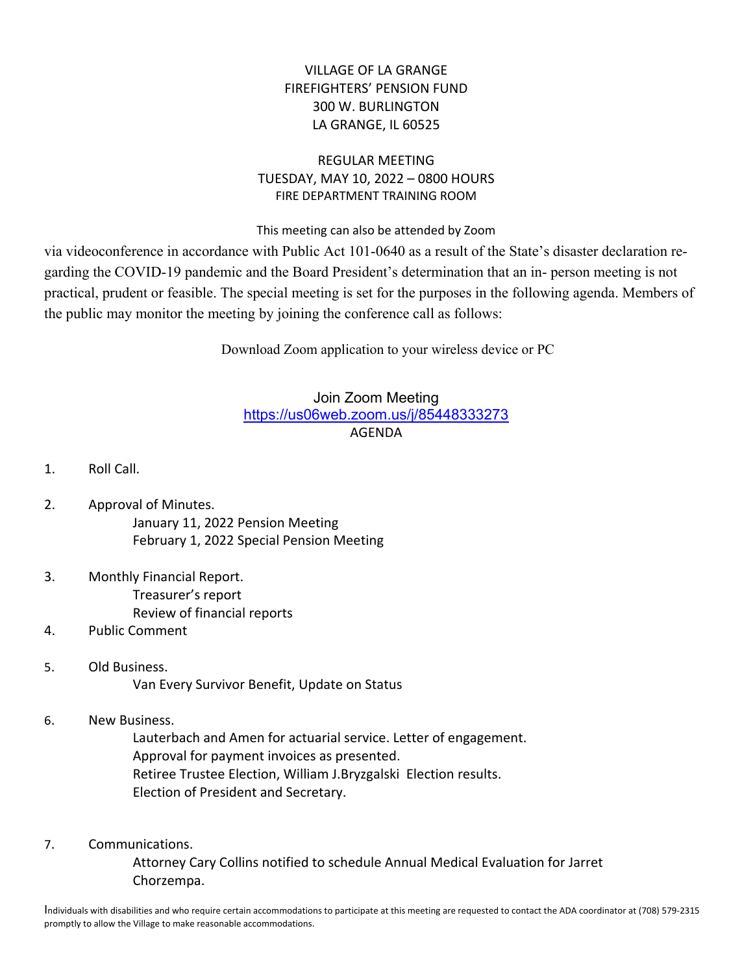## VILLAGE OF LA GRANGE FIREFIGHTERS' PENSION FUND 300 W. BURLINGTON LA GRANGE, IL 60525

## REGULAR MEETING TUESDAY, MAY 10, 2022 – 0800 HOURS FIRE DEPARTMENT TRAINING ROOM

This meeting can also be attended by Zoom

via videoconference in accordance with Public Act 101-0640 as a result of the State's disaster declaration regarding the COVID-19 pandemic and the Board President's determination that an in- person meeting is not practical, prudent or feasible. The special meeting is set for the purposes in the following agenda. Members of the public may monitor the meeting by joining the conference call as follows:

Download Zoom application to your wireless device or PC

## Join Zoom Meeting https://us06web.zoom.us/j/85448333273 AGENDA

- 1. Roll Call.
- 2. Approval of Minutes. January 11, 2022 Pension Meeting February 1, 2022 Special Pension Meeting
- 3. Monthly Financial Report. Treasurer's report Review of financial reports
- 4. Public Comment
- 5. Old Business. Van Every Survivor Benefit, Update on Status
- 6. New Business.

 Lauterbach and Amen for actuarial service. Letter of engagement. Approval for payment invoices as presented. Retiree Trustee Election, William J.Bryzgalski Election results. Election of President and Secretary.

7. Communications.

 Attorney Cary Collins notified to schedule Annual Medical Evaluation for Jarret Chorzempa.